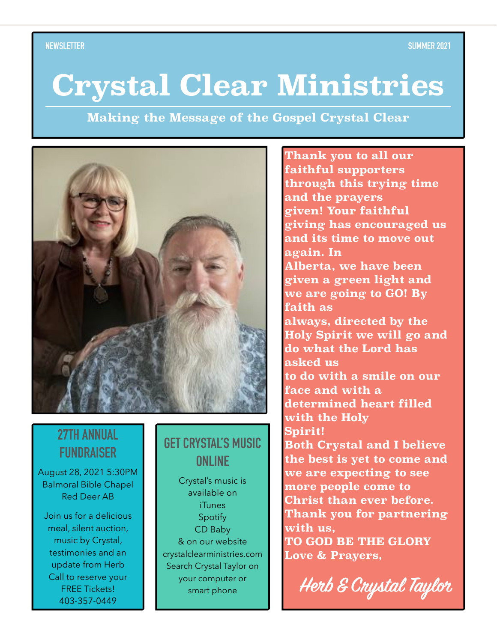# **Crystal Clear Ministries**

**Making the Message of the Gospel Crystal Clear**



### **27TH ANNUAL FUNDRAISER**

August 28, 2021 5:30PM Balmoral Bible Chapel Red Deer AB

Join us for a delicious meal, silent auction, music by Crystal, testimonies and an update from Herb Call to reserve your FREE Tickets! 403-357-0449

### **GET CRYSTAL'S MUSIC ONLINE**

Crystal's music is available on **iTunes** Spotify CD Baby & on our website crystalclearministries.com Search Crystal Taylor on your computer or smart phone

**Thank you to all our faithful supporters through this trying time and the prayers given! Your faithful giving has encouraged us and its time to move out again. In Alberta, we have been given a green light and we are going to GO! By faith as always, directed by the Holy Spirit we will go and do what the Lord has asked us to do with a smile on our face and with a determined heart filled with the Holy Spirit! Both Crystal and I believe the best is yet to come and we are expecting to see more people come to Christ than ever before. Thank you for partnering with us, TO GOD BE THE GLORY Love & Prayers,** 

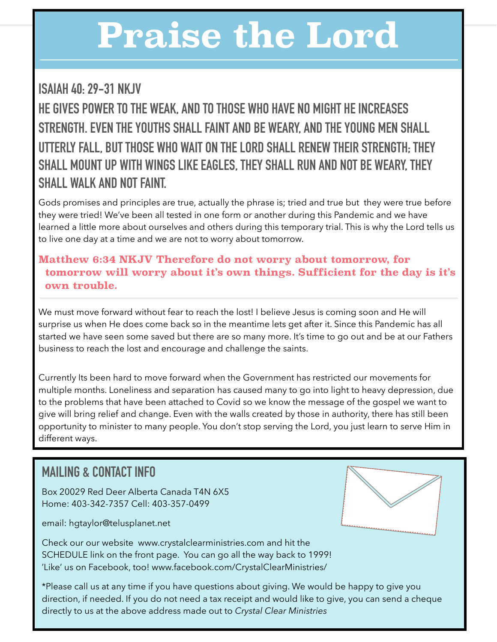# **Praise the Lord**

# **ISAIAH 40: 29-31 NKJV HE GIVES POWER TO THE WEAK, AND TO THOSE WHO HAVE NO MIGHT HE INCREASES STRENGTH. EVEN THE YOUTHS SHALL FAINT AND BE WEARY, AND THE YOUNG MEN SHALL UTTERLY FALL, BUT THOSE WHO WAIT ON THE LORD SHALL RENEW THEIR STRENGTH; THEY SHALL MOUNT UP WITH WINGS LIKE EAGLES, THEY SHALL RUN AND NOT BE WEARY, THEY SHALL WALK AND NOT FAINT.**

Gods promises and principles are true, actually the phrase is; tried and true but they were true before they were tried! We've been all tested in one form or another during this Pandemic and we have learned a little more about ourselves and others during this temporary trial. This is why the Lord tells us to live one day at a time and we are not to worry about tomorrow.

### **Matthew 6:34 NKJV Therefore do not worry about tomorrow, for tomorrow will worry about it's own things. Sufficient for the day is it's own trouble.**

We must move forward without fear to reach the lost! I believe Jesus is coming soon and He will surprise us when He does come back so in the meantime lets get after it. Since this Pandemic has all started we have seen some saved but there are so many more. It's time to go out and be at our Fathers business to reach the lost and encourage and challenge the saints.

Currently Its been hard to move forward when the Government has restricted our movements for multiple months. Loneliness and separation has caused many to go into light to heavy depression, due to the problems that have been attached to Covid so we know the message of the gospel we want to give will bring relief and change. Even with the walls created by those in authority, there has still been opportunity to minister to many people. You don't stop serving the Lord, you just learn to serve Him in different ways.

## **MAILING & CONTACT INFO**

Box 20029 Red Deer Alberta Canada T4N 6X5 Home: 403-342-7357 Cell: 403-357-0499

email: hgtaylor@telusplanet.net



Check our our website www.crystalclearministries.com and hit the SCHEDULE link on the front page. You can go all the way back to 1999! 'Like' us on Facebook, too! www.facebook.com/CrystalClearMinistries/

\*Please call us at any time if you have questions about giving. We would be happy to give you direction, if needed. If you do not need a tax receipt and would like to give, you can send a cheque directly to us at the above address made out to *Crystal Clear Ministries*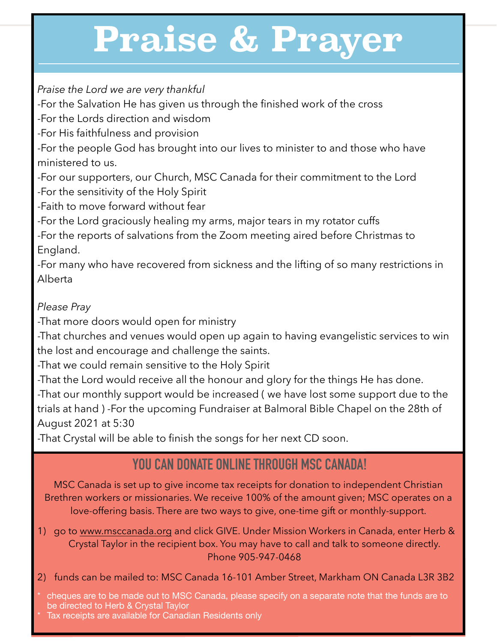# **Praise & Prayer**

*Praise the Lord we are very thankful* 

-For the Salvation He has given us through the finished work of the cross

-For the Lords direction and wisdom

-For His faithfulness and provision

-For the people God has brought into our lives to minister to and those who have ministered to us.

-For our supporters, our Church, MSC Canada for their commitment to the Lord

-For the sensitivity of the Holy Spirit

-Faith to move forward without fear

-For the Lord graciously healing my arms, major tears in my rotator cuffs

-For the reports of salvations from the Zoom meeting aired before Christmas to England.

-For many who have recovered from sickness and the lifting of so many restrictions in Alberta

### *Please Pray*

-That more doors would open for ministry

-That churches and venues would open up again to having evangelistic services to win the lost and encourage and challenge the saints.

-That we could remain sensitive to the Holy Spirit

-That the Lord would receive all the honour and glory for the things He has done. -That our monthly support would be increased ( we have lost some support due to the trials at hand ) -For the upcoming Fundraiser at Balmoral Bible Chapel on the 28th of August 2021 at 5:30

-That Crystal will be able to finish the songs for her next CD soon.

# **YOU CAN DONATE ONLINE THROUGH MSC CANADA!**

MSC Canada is set up to give income tax receipts for donation to independent Christian Brethren workers or missionaries. We receive 100% of the amount given; MSC operates on a love-offering basis. There are two ways to give, one-time gift or monthly-support.

1) go to [www.msccanada.org](http://www.msccanada.org) and click GIVE. Under Mission Workers in Canada, enter Herb & Crystal Taylor in the recipient box. You may have to call and talk to someone directly. Phone 905-947-0468

2) funds can be mailed to: MSC Canada 16-101 Amber Street, Markham ON Canada L3R 3B2

cheques are to be made out to MSC Canada, please specify on a separate note that the funds are to be directed to Herb & Crystal Taylor

Tax receipts are available for Canadian Residents only